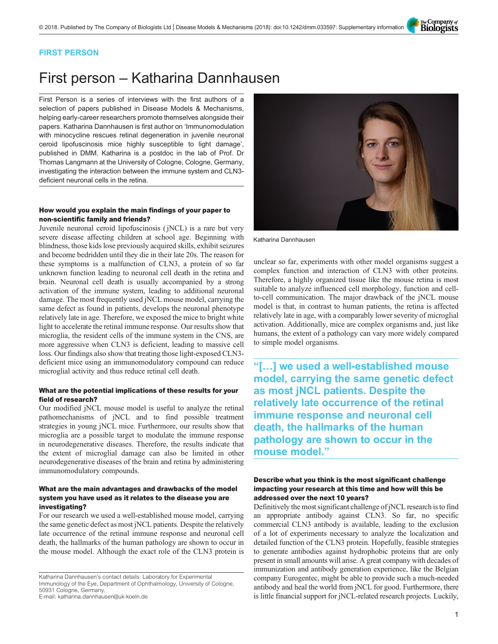The Company of<br>**Biologists** 

### FIRST PERSON

# First person – Katharina Dannhausen

First Person is a series of interviews with the first authors of a selection of papers published in Disease Models & Mechanisms, helping early-career researchers promote themselves alongside their papers. Katharina Dannhausen is first author on '[Immunomodulation](#page-1-0) [with minocycline rescues retinal degeneration in juvenile neuronal](#page-1-0) [ceroid lipofuscinosis mice highly susceptible to light damage](#page-1-0)', published in DMM. Katharina is a postdoc in the lab of Prof. Dr Thomas Langmann at the University of Cologne, Cologne, Germany, investigating the interaction between the immune system and CLN3 deficient neuronal cells in the retina.

# How would you explain the main findings of your paper to non-scientific family and friends?

Juvenile neuronal ceroid lipofuscinosis ( jNCL) is a rare but very severe disease affecting children at school age. Beginning with blindness, those kids lose previously acquired skills, exhibit seizures and become bedridden until they die in their late 20s. The reason for these symptoms is a malfunction of CLN3, a protein of so far unknown function leading to neuronal cell death in the retina and brain. Neuronal cell death is usually accompanied by a strong activation of the immune system, leading to additional neuronal damage. The most frequently used jNCL mouse model, carrying the same defect as found in patients, develops the neuronal phenotype relatively late in age. Therefore, we exposed the mice to bright white light to accelerate the retinal immune response. Our results show that microglia, the resident cells of the immune system in the CNS, are more aggressive when CLN3 is deficient, leading to massive cell loss. Our findings also show that treating those light-exposed CLN3 deficient mice using an immunomodulatory compound can reduce microglial activity and thus reduce retinal cell death.

#### What are the potential implications of these results for your field of research?

Our modified jNCL mouse model is useful to analyze the retinal pathomechanisms of jNCL and to find possible treatment strategies in young jNCL mice. Furthermore, our results show that microglia are a possible target to modulate the immune response in neurodegenerative diseases. Therefore, the results indicate that the extent of microglial damage can also be limited in other neurodegenerative diseases of the brain and retina by administering immunomodulatory compounds.

### What are the main advantages and drawbacks of the model system you have used as it relates to the disease you are investigating?

For our research we used a well-established mouse model, carrying the same genetic defect as most jNCL patients. Despite the relatively late occurrence of the retinal immune response and neuronal cell death, the hallmarks of the human pathology are shown to occur in the mouse model. Although the exact role of the CLN3 protein is

Katharina Dannhausen's contact details: Laboratory for Experimental Immunology of the Eye, Department of Ophthalmology, University of Cologne, 50931 Cologne, Germany. E-mail: [katharina.dannhausen@uk-koeln.de](mailto:katharina.dannhausen@uk-koeln.de)





Katharina Dannhausen

unclear so far, experiments with other model organisms suggest a complex function and interaction of CLN3 with other proteins. Therefore, a highly organized tissue like the mouse retina is most suitable to analyze influenced cell morphology, function and cellto-cell communication. The major drawback of the jNCL mouse model is that, in contrast to human patients, the retina is affected relatively late in age, with a comparably lower severity of microglial activation. Additionally, mice are complex organisms and, just like humans, the extent of a pathology can vary more widely compared to simple model organisms.

"[…] we used a well-established mouse model, carrying the same genetic defect as most jNCL patients. Despite the relatively late occurrence of the retinal immune response and neuronal cell death, the hallmarks of the human pathology are shown to occur in the mouse model."

## Describe what you think is the most significant challenge impacting your research at this time and how will this be addressed over the next 10 years?

Definitively the most significant challenge of jNCL research is to find an appropriate antibody against CLN3. So far, no specific commercial CLN3 antibody is available, leading to the exclusion of a lot of experiments necessary to analyze the localization and detailed function of the CLN3 protein. Hopefully, feasible strategies to generate antibodies against hydrophobic proteins that are only present in small amounts will arise. A great company with decades of immunization and antibody generation experience, like the Belgian company Eurogentec, might be able to provide such a much-needed antibody and heal the world from jNCL for good. Furthermore, there is little financial support for jNCL-related research projects. Luckily,